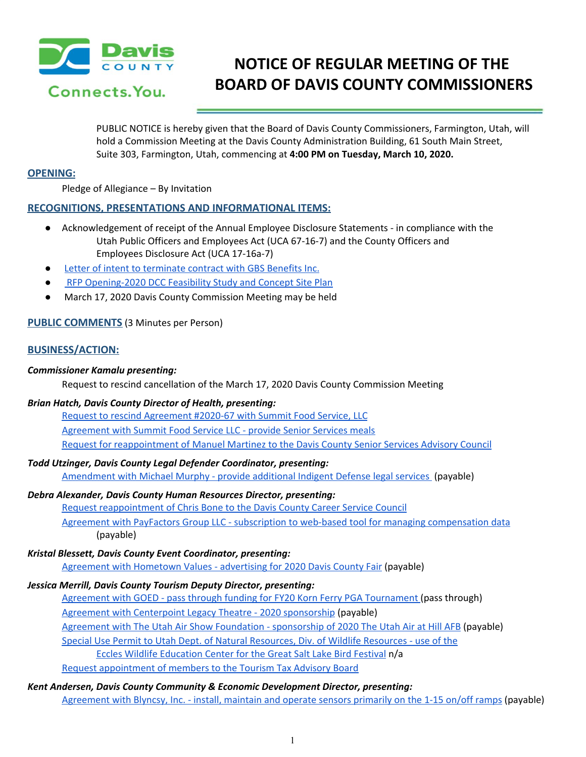

# **NOTICE OF REGULAR MEETING OF THE BOARD OF DAVIS COUNTY COMMISSIONERS**

PUBLIC NOTICE is hereby given that the Board of Davis County Commissioners, Farmington, Utah, will hold a Commission Meeting at the Davis County Administration Building, 61 South Main Street, Suite 303, Farmington, Utah, commencing at **4:00 PM on Tuesday, March 10, 2020.**

# **OPENING:**

Pledge of Allegiance – By Invitation

# **RECOGNITIONS, PRESENTATIONS AND INFORMATIONAL ITEMS:**

- Acknowledgement of receipt of the Annual Employee Disclosure Statements in compliance with the Utah Public Officers and Employees Act (UCA 67-16-7) and the County Officers and Employees Disclosure Act (UCA 17-16a-7)
- Letter of intent to [terminate](https://drive.google.com/a/co.davis.ut.us/file/d/1lsoVlwG2Gu7eff8gd9jHD5qmLke3Uf0j/view?usp=drivesdk) contract with GBS Benefits Inc.
- RFP [Opening-2020](https://drive.google.com/a/co.davis.ut.us/file/d/1aKT9sTlqqkWM5g4pOcbeXLkAi_v6SpoC/view?usp=drivesdk) DCC Feasibility Study and Concept Site Plan
- March 17, 2020 Davis County Commission Meeting may be held

# **PUBLIC COMMENTS** (3 Minutes per Person)

# **BUSINESS/ACTION:**

# *Commissioner Kamalu presenting:*

Request to rescind cancellation of the March 17, 2020 Davis County Commission Meeting

# *Brian Hatch, Davis County Director of Health, presenting:*

Request to rescind [Agreement](https://drive.google.com/a/co.davis.ut.us/file/d/1u7ETd3c6gCgKGpI0RzMg8ssuQdN-fFBu/view?usp=drivesdk) #2020-67 with Summit Food Service, LLC [Agreement](https://drive.google.com/a/co.davis.ut.us/file/d/1riaqXnn9yeX1YvIvVirAEVK3x72UrhHZ/view?usp=drivesdk) with Summit Food Service LLC - provide Senior Services meals Request for [reappointment](https://drive.google.com/a/co.davis.ut.us/file/d/1dNB9U3iOKm_o2C4VukEAo8PxvVpwUe_i/view?usp=drivesdk) of Manuel Martinez to the Davis County Senior Services Advisory Council

# *Todd Utzinger, Davis County Legal Defender Coordinator, presenting:*

[Amendment](https://drive.google.com/a/co.davis.ut.us/file/d/1DPcLwiLjMXntSmOnH5HmXY2ch0_-7Z9x/view?usp=drivesdk) with Michael Murphy - provide additional Indigent Defense legal services (payable)

# *Debra Alexander, Davis County Human Resources Director, presenting:*

Request [reappointment](https://drive.google.com/a/co.davis.ut.us/file/d/1gKO3nCmQTNolfxOrOvlSIIesMrUlEXYw/view?usp=drivesdk) of Chris Bone to the Davis County Career Service Council

Agreement with PayFactors Group LLC - subscription to web-based tool for managing [compensation](https://drive.google.com/a/co.davis.ut.us/file/d/19nUqGncCgc5pgoa2MAdtmImHkbk3_EgF/view?usp=drivesdk) data (payable)

# *Kristal Blessett, Davis County Event Coordinator, presenting:*

Agreement with [Hometown](https://drive.google.com/a/co.davis.ut.us/file/d/1YlagQ98vD_7kMQYGT6TDBACJpY9wiqen/view?usp=drivesdk) Values - advertising for 2020 Davis County Fair (payable)

# *Jessica Merrill, Davis County Tourism Deputy Director, presenting:*

Agreement with GOED - pass through funding for FY20 Korn Ferry PGA [Tournament](https://drive.google.com/a/co.davis.ut.us/file/d/1408Ph1pYUupHJVVHMtcenyMUzUAFckrc/view?usp=drivesdk) (pass through)

Agreement with Centerpoint Legacy Theatre - 2020 [sponsorship](https://drive.google.com/a/co.davis.ut.us/file/d/1lpU2_TEHKUWCQqmTNLn6HtJjKhUrNt9i/view?usp=drivesdk) (payable)

Agreement with The Utah Air Show Foundation - [sponsorship](https://drive.google.com/a/co.davis.ut.us/file/d/1KVnRG6wTQowYGaDnfeB3wOxnuBgdCqL5/view?usp=drivesdk) of 2020 The Utah Air at Hill AFB (payable)

Special Use Permit to Utah Dept. of Natural [Resources,](https://drive.google.com/a/co.davis.ut.us/file/d/1WqvnEjaL0DjeDyrW0bOjxocyMbomWfCy/view?usp=drivesdk) Div. of Wildlife Resources - use of the

Eccles Wildlife [Education](https://drive.google.com/a/co.davis.ut.us/file/d/1WqvnEjaL0DjeDyrW0bOjxocyMbomWfCy/view?usp=drivesdk) Center for the Great Salt Lake Bird Festival n/a

Request [appointment](https://drive.google.com/a/co.davis.ut.us/file/d/1N0MPzthzbq5FO0e7qd2RqvdlfV5KgXfo/view?usp=drivesdk) of members to the Tourism Tax Advisory Board

# *Kent Andersen, Davis County Community & Economic Development Director, presenting:*

[Agreement](https://drive.google.com/a/co.davis.ut.us/file/d/1xUe7KmbcyzzJHTNXO-obeDb6wJqyAoXs/view?usp=drivesdk) with Blyncsy, Inc. - install, maintain and operate sensors primarily on the 1-15 on/off ramps (payable)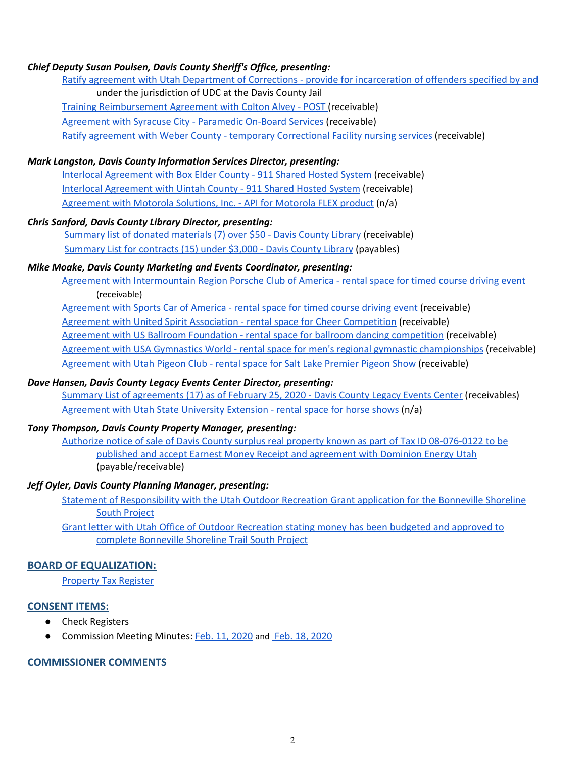# *Chief Deputy Susan Poulsen, Davis County Sheriff's Office, presenting:*

Ratify agreement with Utah Department of Corrections - provide for [incarceration](https://drive.google.com/a/co.davis.ut.us/file/d/13vLm_-i0ai1QY85-yhHjoMmqNx7bjehk/view?usp=drivesdk) of offenders specified by and under the jurisdiction of UDC at the Davis County Jail Training [Reimbursement](https://drive.google.com/a/co.davis.ut.us/file/d/17W5tvLcZxNYubc1udMjaJ8wEraJj4_vC/view?usp=drivesdk) Agreement with Colton Alvey - POST (receivable) [Agreement](https://drive.google.com/a/co.davis.ut.us/file/d/1NKpyXPypnTJTgASv_SEx49rJrFtFlha1/view?usp=drivesdk) with Syracuse City - Paramedic On-Board Services (receivable) Ratify agreement with Weber County - temporary [Correctional](https://drive.google.com/a/co.davis.ut.us/file/d/1yNTLpFeHl4wG7PcVo5APdEy97kQVZYqE/view?usp=drivesdk) Facility nursing services (receivable)

#### *Mark Langston, Davis County Information Services Director, presenting:*

Interlocal [Agreement](https://drive.google.com/a/co.davis.ut.us/file/d/1gQ3qsUDtlttphsXSrzBBPav3STNAYwa2/view?usp=drivesdk) with Box Elder County - 911 Shared Hosted System (receivable) Interlocal [Agreement](https://drive.google.com/a/co.davis.ut.us/file/d/1UdLRJA45psPEZj-Zb-wxc595bJ8JC3dj/view?usp=drivesdk) with Uintah County - 911 Shared Hosted System (receivable) [Agreement](https://drive.google.com/a/co.davis.ut.us/file/d/1P4zpr84LLdMx_T0UE3qDlLbXjNnvSdTb/view?usp=drivesdk) with Motorola Solutions, Inc. - API for Motorola FLEX product (n/a)

# *Chris Sanford, Davis County Library Director, presenting:*

[Summary](https://drive.google.com/a/co.davis.ut.us/file/d/1-lXyiS0z1M90sEChmimXYHv7LKK9qNxE/view?usp=drivesdk) list of donated materials (7) over \$50 - Davis County Library (receivable) [Summary](https://drive.google.com/a/co.davis.ut.us/file/d/1S1zehSoIiKgc8VsC8JSyzyTsX4O7hD3a/view?usp=drivesdk) List for contracts (15) under \$3,000 - Davis County Library (payables)

# *Mike Moake, Davis County Marketing and Events Coordinator, presenting:*

Agreement with [Intermountain](https://drive.google.com/a/co.davis.ut.us/file/d/1_VRXJe1YDZd8q606jDHYRh_PGtI7s6UR/view?usp=drivesdk) Region Porsche Club of America - rental space for timed course driving event (receivable)

[Agreement](https://drive.google.com/a/co.davis.ut.us/file/d/1nmfD4zAnNLYdz_0ZYMPOpEy15-o49ugV/view?usp=drivesdk) with Sports Car of America - rental space for timed course driving event (receivable)

Agreement with United Spirit Association - rental space for Cheer [Competition](https://drive.google.com/a/co.davis.ut.us/file/d/1iPu9XmhDEVbE0gF3x1fmVRcyIuU0sqMH/view?usp=drivesdk) (receivable)

Agreement with US Ballroom Foundation - rental space for ballroom dancing [competition](https://drive.google.com/a/co.davis.ut.us/file/d/1kNbVaWGB2XIZaH4TWNenhxXpC1g2DERY/view?usp=drivesdk) (receivable)

Agreement with USA Gymnastics World - rental space for men's regional gymnastic [championships](https://drive.google.com/a/co.davis.ut.us/file/d/1HtjrAhy6PyiwakDVF0gQIT1VngJY-Pn8/view?usp=drivesdk) (receivable)

[Agreement](https://drive.google.com/a/co.davis.ut.us/file/d/1R9UYttVvSe3i1xYWMxYQKTe27h_E2KPc/view?usp=drivesdk) with Utah Pigeon Club - rental space for Salt Lake Premier Pigeon Show (receivable)

#### *Dave Hansen, Davis County Legacy Events Center Director, presenting:*

Summary List of [agreements](https://drive.google.com/a/co.davis.ut.us/file/d/10z2Bpd-aZvrjJYsbRc-9NHg-BSrvWTJ0/view?usp=drivesdk) (17) as of February 25, 2020 - Davis County Legacy Events Center (receivables) [Agreement](https://drive.google.com/a/co.davis.ut.us/file/d/1u9vEkqwjZcSDL4fBbaeuxFsetb3pce7I/view?usp=drivesdk) with Utah State University Extension - rental space for horse shows (n/a)

#### *Tony Thompson, Davis County Property Manager, presenting:*

Authorize notice of sale of Davis County surplus real property known as part of Tax ID [08-076-0122](https://drive.google.com/a/co.davis.ut.us/file/d/1LJJUbZEd09B8py9DRzvzRE50zAtlm9fl/view?usp=drivesdk) to be published and accept Earnest Money Receipt and [agreement](https://drive.google.com/a/co.davis.ut.us/file/d/1LJJUbZEd09B8py9DRzvzRE50zAtlm9fl/view?usp=drivesdk) with Dominion Energy Utah (payable/receivable)

# *Jeff Oyler, Davis County Planning Manager, presenting:*

Statement of [Responsibility](https://drive.google.com/a/co.davis.ut.us/file/d/1rBvRgI6tjRZ3LoOtzf0YFiswwcPs32rX/view?usp=drivesdk) with the Utah Outdoor Recreation Grant application for the Bonneville Shoreline South [Project](https://drive.google.com/a/co.davis.ut.us/file/d/1rBvRgI6tjRZ3LoOtzf0YFiswwcPs32rX/view?usp=drivesdk)

Grant letter with Utah Office of Outdoor [Recreation](https://drive.google.com/a/co.davis.ut.us/file/d/1xEUEGT8pOB-PU8SMVB7aXAMmu6hN08Te/view?usp=drivesdk) stating money has been budgeted and approved to complete [Bonneville](https://drive.google.com/a/co.davis.ut.us/file/d/1xEUEGT8pOB-PU8SMVB7aXAMmu6hN08Te/view?usp=drivesdk) Shoreline Trail South Project

# **BOARD OF EQUALIZATION:**

[Property](https://drive.google.com/a/co.davis.ut.us/file/d/1XIpACjuXTjiOWLwt7UUYARMoq78L6byM/view?usp=drivesdk) Tax Register

#### **CONSENT ITEMS:**

- Check Registers
- Commission Meeting Minutes: Feb. 11, [2020](https://drive.google.com/a/co.davis.ut.us/file/d/1HyvEBlW-D2hJeg3r6I-EaprH76apvSV5/view?usp=drivesdk) and Feb. 18, 2020

#### **COMMISSIONER COMMENTS**